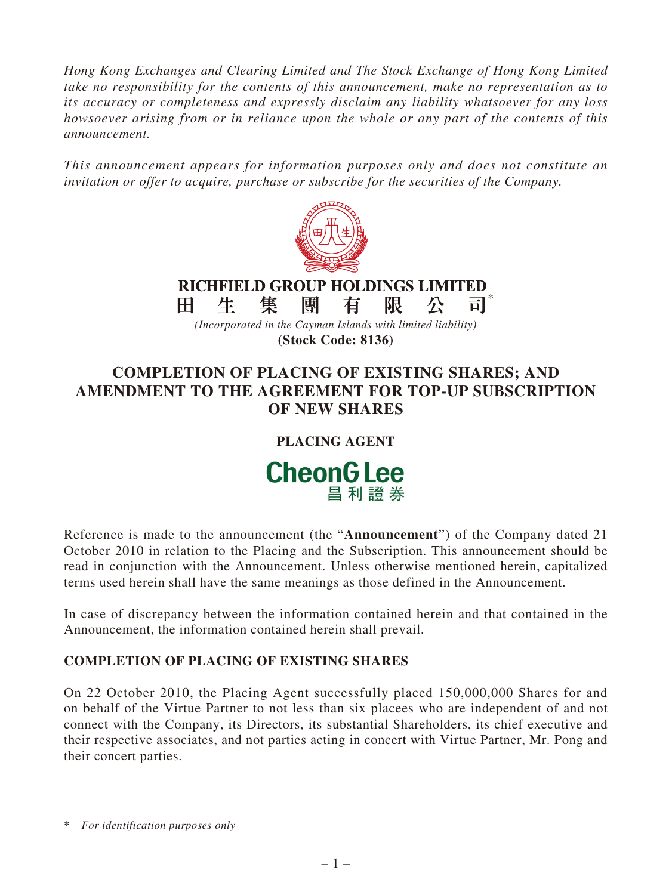*Hong Kong Exchanges and Clearing Limited and The Stock Exchange of Hong Kong Limited take no responsibility for the contents of this announcement, make no representation as to its accuracy or completeness and expressly disclaim any liability whatsoever for any loss howsoever arising from or in reliance upon the whole or any part of the contents of this announcement.*

*This announcement appears for information purposes only and does not constitute an invitation or offer to acquire, purchase or subscribe for the securities of the Company.*



### **RICHFIELD GROUP HOLDINGS LIMITED** \* 生 隻 團 有 限 H. 公 司

*(Incorporated in the Cayman Islands with limited liability)* **(Stock Code: 8136)**

# **COMPLETION OF PLACING OF EXISTING SHARES; AND AMENDMENT TO THE AGREEMENT FOR TOP-UP SUBSCRIPTION OF NEW SHARES**

# **PLACING AGENT**



Reference is made to the announcement (the "**Announcement**") of the Company dated 21 October 2010 in relation to the Placing and the Subscription. This announcement should be read in conjunction with the Announcement. Unless otherwise mentioned herein, capitalized terms used herein shall have the same meanings as those defined in the Announcement.

In case of discrepancy between the information contained herein and that contained in the Announcement, the information contained herein shall prevail.

## **COMPLETION OF PLACING OF EXISTING SHARES**

On 22 October 2010, the Placing Agent successfully placed 150,000,000 Shares for and on behalf of the Virtue Partner to not less than six placees who are independent of and not connect with the Company, its Directors, its substantial Shareholders, its chief executive and their respective associates, and not parties acting in concert with Virtue Partner, Mr. Pong and their concert parties.

\* *For identification purposes only*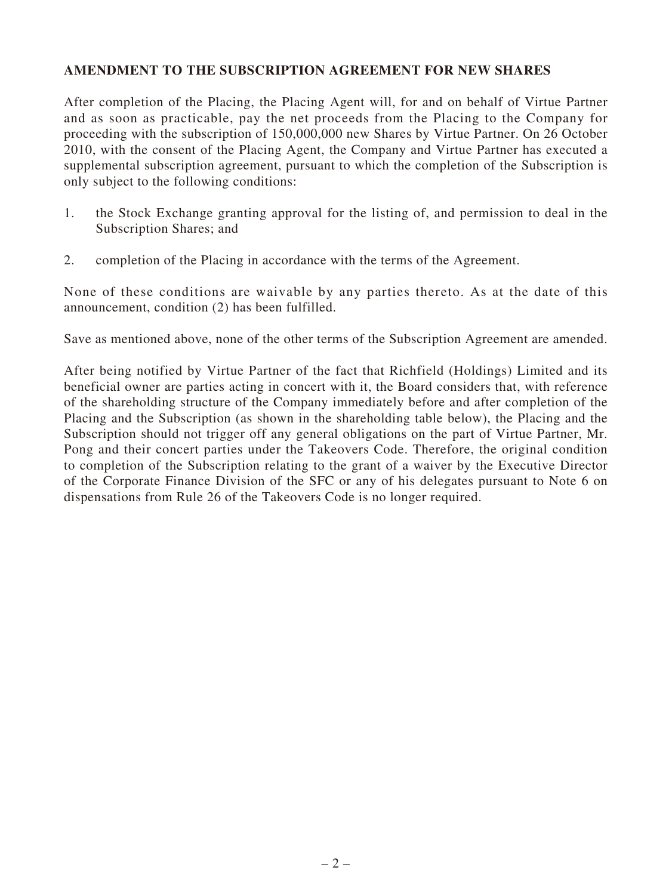## **AMENDMENT TO THE SUBSCRIPTION AGREEMENT FOR NEW SHARES**

After completion of the Placing, the Placing Agent will, for and on behalf of Virtue Partner and as soon as practicable, pay the net proceeds from the Placing to the Company for proceeding with the subscription of 150,000,000 new Shares by Virtue Partner. On 26 October 2010, with the consent of the Placing Agent, the Company and Virtue Partner has executed a supplemental subscription agreement, pursuant to which the completion of the Subscription is only subject to the following conditions:

- 1. the Stock Exchange granting approval for the listing of, and permission to deal in the Subscription Shares; and
- 2. completion of the Placing in accordance with the terms of the Agreement.

None of these conditions are waivable by any parties thereto. As at the date of this announcement, condition (2) has been fulfilled.

Save as mentioned above, none of the other terms of the Subscription Agreement are amended.

After being notified by Virtue Partner of the fact that Richfield (Holdings) Limited and its beneficial owner are parties acting in concert with it, the Board considers that, with reference of the shareholding structure of the Company immediately before and after completion of the Placing and the Subscription (as shown in the shareholding table below), the Placing and the Subscription should not trigger off any general obligations on the part of Virtue Partner, Mr. Pong and their concert parties under the Takeovers Code. Therefore, the original condition to completion of the Subscription relating to the grant of a waiver by the Executive Director of the Corporate Finance Division of the SFC or any of his delegates pursuant to Note 6 on dispensations from Rule 26 of the Takeovers Code is no longer required.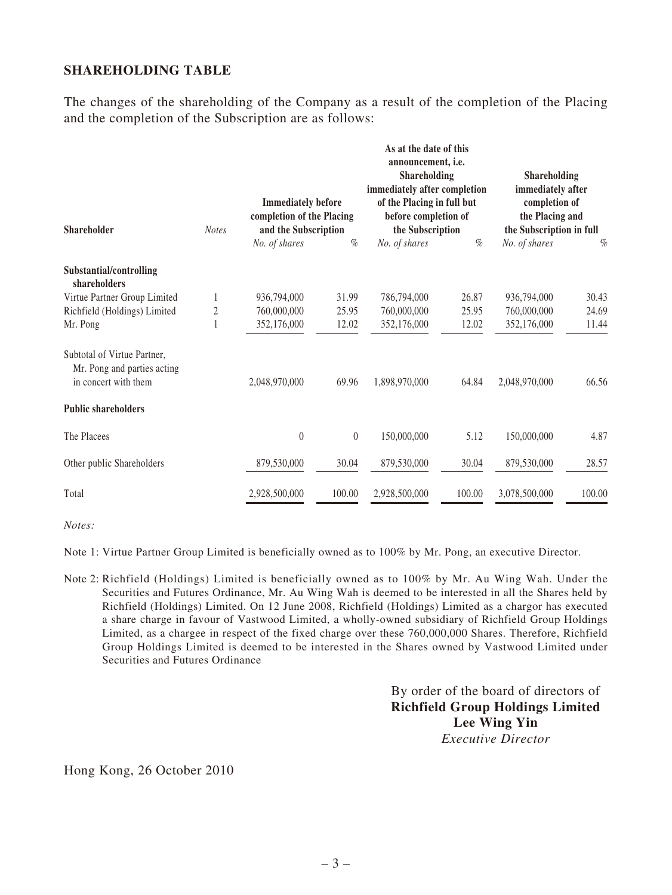## **SHAREHOLDING TABLE**

The changes of the shareholding of the Company as a result of the completion of the Placing and the completion of the Subscription are as follows:

| <b>Shareholder</b>                                                                 | <b>Notes</b>   | <b>Immediately before</b><br>completion of the Placing<br>and the Subscription |          | As at the date of this<br>announcement, i.e.<br><b>Shareholding</b><br>immediately after completion<br>of the Placing in full but<br>before completion of<br>the Subscription |        | Shareholding<br>immediately after<br>completion of<br>the Placing and<br>the Subscription in full |        |
|------------------------------------------------------------------------------------|----------------|--------------------------------------------------------------------------------|----------|-------------------------------------------------------------------------------------------------------------------------------------------------------------------------------|--------|---------------------------------------------------------------------------------------------------|--------|
|                                                                                    |                | No. of shares                                                                  | $\%$     | No. of shares                                                                                                                                                                 | $\%$   | No. of shares                                                                                     | $\%$   |
| Substantial/controlling<br>shareholders                                            |                |                                                                                |          |                                                                                                                                                                               |        |                                                                                                   |        |
| Virtue Partner Group Limited                                                       |                | 936,794,000                                                                    | 31.99    | 786,794,000                                                                                                                                                                   | 26.87  | 936,794,000                                                                                       | 30.43  |
| Richfield (Holdings) Limited                                                       | $\overline{c}$ | 760,000,000                                                                    | 25.95    | 760,000,000                                                                                                                                                                   | 25.95  | 760,000,000                                                                                       | 24.69  |
| Mr. Pong                                                                           |                | 352,176,000                                                                    | 12.02    | 352,176,000                                                                                                                                                                   | 12.02  | 352,176,000                                                                                       | 11.44  |
| Subtotal of Virtue Partner.<br>Mr. Pong and parties acting<br>in concert with them |                | 2,048,970,000                                                                  | 69.96    | 1,898,970,000                                                                                                                                                                 | 64.84  | 2,048,970,000                                                                                     | 66.56  |
| <b>Public shareholders</b>                                                         |                |                                                                                |          |                                                                                                                                                                               |        |                                                                                                   |        |
| The Placees                                                                        |                | $\boldsymbol{0}$                                                               | $\theta$ | 150,000,000                                                                                                                                                                   | 5.12   | 150,000,000                                                                                       | 4.87   |
| Other public Shareholders                                                          |                | 879,530,000                                                                    | 30.04    | 879,530,000                                                                                                                                                                   | 30.04  | 879,530,000                                                                                       | 28.57  |
| Total                                                                              |                | 2,928,500,000                                                                  | 100.00   | 2,928,500,000                                                                                                                                                                 | 100.00 | 3,078,500,000                                                                                     | 100.00 |

*Notes:*

Note 1: Virtue Partner Group Limited is beneficially owned as to 100% by Mr. Pong, an executive Director.

Note 2: Richfield (Holdings) Limited is beneficially owned as to 100% by Mr. Au Wing Wah. Under the Securities and Futures Ordinance, Mr. Au Wing Wah is deemed to be interested in all the Shares held by Richfield (Holdings) Limited. On 12 June 2008, Richfield (Holdings) Limited as a chargor has executed a share charge in favour of Vastwood Limited, a wholly-owned subsidiary of Richfield Group Holdings Limited, as a chargee in respect of the fixed charge over these 760,000,000 Shares. Therefore, Richfield Group Holdings Limited is deemed to be interested in the Shares owned by Vastwood Limited under Securities and Futures Ordinance

> By order of the board of directors of **Richfield Group Holdings Limited Lee Wing Yin** *Executive Director*

Hong Kong, 26 October 2010